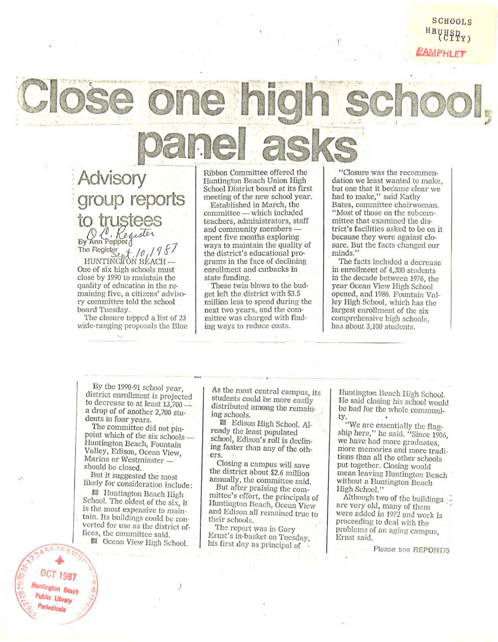SCHOOLS  $U''$ *fi\MPHLEr* 

: **Advisory**  : **group reports to** trustees **By Ann Pepper d**<br>The Register

The Register *t<sub>ot</sub>* /*0 l* 9 *f* 7 HUNTINGJON BEACH --<br>One of six high schools must close by 1990 to maintain the quality of education in the re **maining five , a citizens' adviso**ry committee told the school board Tuesday.

The closure topped a list of 23 wide-ranging proposals the Blue Ribbon Committee offered the Huntington Beach Union High School District board at its first meeting of the new school year. Established in March, the

committee - which included **teachers, administrators, staff**  and community members -<br>spent five months exploring ways to maintain the quality of the district's educational programs in the face of declining enrollment and cutbacks in

state funding. . These twin blows to the bud- get left the district with \$3.5 million less to spend during the **next two years, and the com**mittee was charged with finding ways to reduce costs.

**HClosure was the recommen**dation we least wanted to make, but one that it became clear we had to make," said Kathy Bates, committee chairwoman. "Most of those on the subcommittee that examined the district's facilities asked to be on it because they were against closure. But the facts changed our minds.'

"

The facts included a decrease in enrollment of 4,300 students in the decade between 1976, the year Ocean View High School opened, and 1986. Fountain Valley High School, which has the largest enrollment of the six **comprehensive high schools,** has about 3,100 students.

By the 1990-91 school year district enrollment is projected<br>to decrease to at least 13,700 a drop of of another 2,700 students in four years.

The committee did not pinpoint which of the six schools \_ Huntington Beach, Fountain Valley, Edison, Ocean View, **Marina or Westminster** should be closed.

But it suggested the most likely for consideration include:

**Huntington Beach High** School. The oldest of the six, it is the most expensive to maintain. Its buildings could be converted for use as the district of**fices, the committee said.**  II Ocean View High School.

.I

As the most central campus, its students could be more easily distributed among the remain-<br>ing schools.

Edison High School. Already the least populated school, Edison's roll is declining faster than any of the oth**ers.** 

**Closing a campus will save**  the district about \$2.6 million annually, the committee said.

But after praising the committee's effort, the principals of **Huntmgton Beach, Ocean View**  and Edison all remained true to their schools.

The report was in Gary Ernst's in-basket on Tuesday, his first day as principal of

Huntington Beach High School. He said closing his school would be bad for the whole community.

"We are essentially the flag**ship here," he said. "Since 1906,**  we have had more graduates, more memories and more tradi-<br>tions than all the other schools put together. Closing would mean leaving Huntington Beach without a Huntington Beach High School."

Although two of the buildings are very old, many of them were added in 1972 and work is proceeding to deal with the problems of an aging campus, **Ernst** said.

Please see REPORT/6

**OCT 1987 Huntington Beach** Public Library Periodicals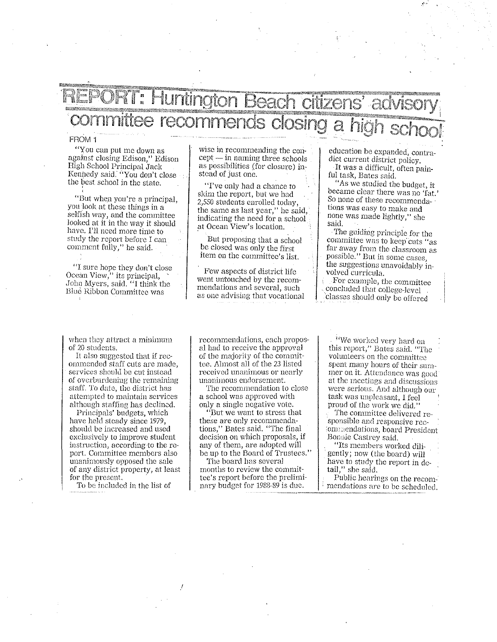## --='m'\$;r±~;gM\_M'W>~ "~B€jfiCflcrflzeil~!@~idvroory committee recommends closing a high school

## **FROM 1**

"You can put me down as against closing Edison," Edison High School Principal Jack Kennedy said. "You don't close the best school in the state.

"But when you're a principal, you loolt at these things in a selfish way, and the committee looked at it in the way it should have. I'll need more time to study the report before I can comment fully," he said.

"I sure hope they don't close Ocean View, $\cdot$  its principal. John Myers, said. "I think the Blue Ribbon Committee was

wise in recommending the con $cept$   $-$  in naming three schools as possibilities (for closure) instead of just one.

"I've only had a chance to skim the report, but we had 2,550 students enrolled today, the same as last year," he said, indicating the need for a school at Ocean View's location.

But proposing that a school be closed was only the first item on the committee's list.

Few aspects of district life went untouched by the recommendations and several, such as one advising that vocational

education be expanded, contradict current district policy. It was a difficult, often painful task) Bates said.

!IAs we studied the budget, *it*  became clear there was no 'fat.' So none of these recommendations was easy to make and none was made lightly," she said.

The guiding principle for the committee was to keep cuts "as far away from the classroom as possible." But in some cases, the suggestions unavoidably involved curricula.<br>For example, the committee

concluded that college-level. classes should only be offered

when they attract a minimum of 20 students.

It also suggested that if recommended staff cuts are made, services should be cut instead of overburdening the remaining staff. To date, the district has attempted to maintain services although staffing has declined.

Principals' budgets, which have held steady since 1979, should be increased and used exclusively to improve student instruction, according to the report. Committee members also unanimously opposed the sale of any district property) at least for the present.

To be included in the list of

recommendations, each proposal had to receive the approval of the majority of the committee. Almost all of the 23 listed received unanimous or nearly unanimous endorsement.

The recommendation to close a school was approved with only a single negative vote.

"But we want to stress that these are only recommendations," Bates said. "The final decision on \vhich proposals, if any of them, are adopted will be up to the Board of Trustees."

The board has seveml months to review the committee's report before the preliminary budget for 1988-89 is due.

(iV/e \vor}\cd very hard on this report," Bates said. "The volunleers on the committee spent many hours of their summer on it. Attendance was good at the meetings and discussions were serious. And although our task was unpleasant, I feel proud of the work we did."

The committee delivered responsible and responsive rec~ ommendations, board President Bonnie Castrey said.

"Its members worked diligently; now (the board) will have to study the report in detail," she said.

Public hearings on the recommendations are to be scheduled.